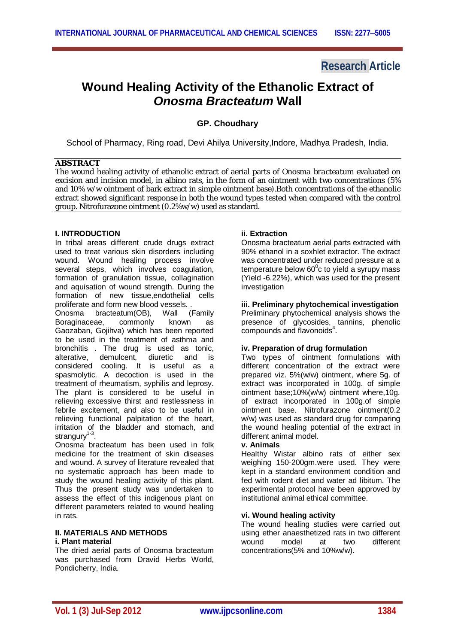## **Research Article**

# **Wound Healing Activity of the Ethanolic Extract of** *Onosma Bracteatum* **Wall**

### **GP. Choudhary**

School of Pharmacy, Ring road, Devi Ahilya University,Indore, Madhya Pradesh, India.

#### **ABSTRACT**

The wound healing activity of ethanolic extract of aerial parts of *Onosma bracteatum* evaluated on excision and incision model, in albino rats, in the form of an ointment with two concentrations (5% and 10% w/w ointment of bark extract in simple ointment base).Both concentrations of the ethanolic extract showed significant response in both the wound types tested when compared with the control group. Nitrofurazone ointment (0.2%w/w) used as standard.

#### **I. INTRODUCTION**

In tribal areas different crude drugs extract used to treat various skin disorders including wound. Wound healing process involve several steps, which involves coagulation, formation of granulation tissue, collagination and aquisation of wound strength. During the formation of new tissue,endothelial cells proliferate and form new blood vessels. .

Onosma bracteatum(OB), Wall (Family Boraginaceae, commonly known as Gaozaban, Gojihva) which has been reported to be used in the treatment of asthma and bronchitis . The drug is used as tonic, alterative, demulcent, diuretic and is considered cooling. It is useful as a spasmolytic. A decoction is used in the treatment of rheumatism, syphilis and leprosy. The plant is considered to be useful in relieving excessive thirst and restlessness in febrile excitement, and also to be useful in relieving functional palpitation of the heart, irritation of the bladder and stomach, and strangury<sup>1-3</sup>.

Onosma bracteatum has been used in folk medicine for the treatment of skin diseases and wound. A survey of literature revealed that no systematic approach has been made to study the wound healing activity of this plant. Thus the present study was undertaken to assess the effect of this indigenous plant on different parameters related to wound healing in rats.

#### **II. MATERIALS AND METHODS i. Plant material**

The dried aerial parts of Onosma bracteatum was purchased from Dravid Herbs World, Pondicherry, India.

#### **ii. Extraction**

Onosma bracteatum aerial parts extracted with 90% ethanol in a soxhlet extractor. The extract was concentrated under reduced pressure at a temperature below 60 $^{\circ}$ c to yield a syrupy mass (Yield -6.22%), which was used for the present investigation

#### **iii. Preliminary phytochemical investigation**

Preliminary phytochemical analysis shows the presence of glycosides, tannins, phenolic compounds and flavonoids<sup>4</sup>.

#### **iv. Preparation of drug formulation**

Two types of ointment formulations with different concentration of the extract were prepared viz. 5%(w/w) ointment, where 5g. of extract was incorporated in 100g. of simple ointment base;10%(w/w) ointment where,10g. of extract incorporated in 100g.of simple ointment base. Nitrofurazone ointment(0.2 w/w) was used as standard drug for comparing the wound healing potential of the extract in different animal model.

#### **v. Animals**

Healthy Wistar albino rats of either sex weighing 150-200gm.were used. They were kept in a standard environment condition and fed with rodent diet and water ad libitum. The experimental protocol have been approved by institutional animal ethical committee.

#### **vi. Wound healing activity**

The wound healing studies were carried out using ether anaesthetized rats in two different wound model at two different concentrations(5% and 10%w/w).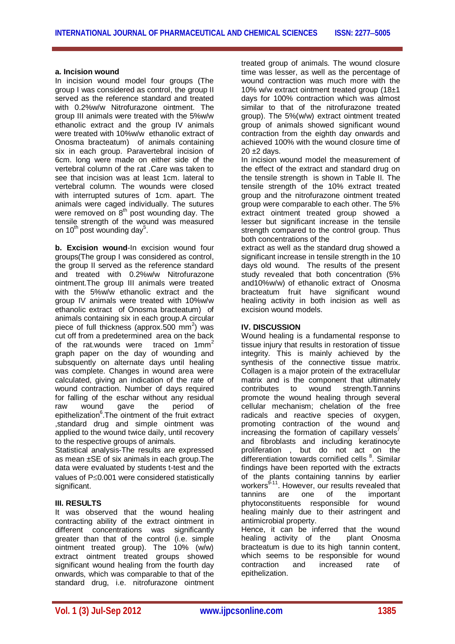#### **a. Incision wound**

In incision wound model four groups (The group I was considered as control, the group II served as the reference standard and treated with 0.2%w/w Nitrofurazone ointment. The group III animals were treated with the 5%w/w ethanolic extract and the group IV animals were treated with 10%w/w ethanolic extract of Onosma bracteatum) of animals containing six in each group. Paravertebral incision of 6cm. long were made on either side of the vertebral column of the rat .Care was taken to see that incision was at least 1cm. lateral to vertebral column. The wounds were closed with interrupted sutures of 1cm. apart. The animals were caged individually. The sutures were removed on  $8<sup>th</sup>$  post wounding day. The tensile strength of the wound was measured on 10 $^{\sf th}$  post wounding day $^{\sf 5}.$ 

**b. Excision wound**-In excision wound four groups(The group I was considered as control, the group II served as the reference standard and treated with 0.2%w/w Nitrofurazone ointment.The group III animals were treated with the 5%w/w ethanolic extract and the group IV animals were treated with 10%w/w ethanolic extract of Onosma bracteatum) of animals containing six in each group.A circular piece of full thickness (approx.500 mm<sup>2</sup>) was cut off from a predetermined area on the back of the rat.wounds were traced on 1mm<sup>2</sup> graph paper on the day of wounding and subsquently on alternate days until healing was complete. Changes in wound area were calculated, giving an indication of the rate of wound contraction. Number of days required for falling of the eschar without any residual raw wound gave the period of epithelization<sup>6</sup>. The ointment of the fruit extract ,standard drug and simple ointment was applied to the wound twice daily, until recovery to the respective groups of animals.

Statistical analysis-The results are expressed as mean ±SE of six animals in each group.The data were evaluated by students t-test and the values of  $P \le 0.001$  were considered statistically significant.

#### **III. RESULTS**

It was observed that the wound healing contracting ability of the extract ointment in different concentrations was significantly greater than that of the control (i.e. simple ointment treated group). The 10% (w/w) extract ointment treated groups showed significant wound healing from the fourth day onwards, which was comparable to that of the standard drug, i.e. nitrofurazone ointment treated group of animals. The wound closure time was lesser, as well as the percentage of wound contraction was much more with the 10% w/w extract ointment treated group (18±1 days for 100% contraction which was almost similar to that of the nitrofurazone treated group). The 5%(w/w) extract ointment treated group of animals showed significant wound contraction from the eighth day onwards and achieved 100% with the wound closure time of  $20 + 2$  days.

In incision wound model the measurement of the effect of the extract and standard drug on the tensile strength is shown in Table II. The tensile strength of the 10% extract treated group and the nitrofurazone ointment treated group were comparable to each other. The 5% extract ointment treated group showed a lesser but significant increase in the tensile strength compared to the control group. Thus both concentrations of the

extract as well as the standard drug showed a significant increase in tensile strength in the 10 days old wound. The results of the present study revealed that both concentration (5% and10%w/w) of ethanolic extract of Onosma bracteatum fruit have significant wound healing activity in both incision as well as excision wound models.

#### **IV. DISCUSSION**

Wound healing is a fundamental response to tissue injury that results in restoration of tissue integrity. This is mainly achieved by the synthesis of the connective tissue matrix. Collagen is a major protein of the extracellular matrix and is the component that ultimately<br>contributes to wound strength.Tannins contributes to wound strength.Tannins promote the wound healing through several cellular mechanism; chelation of the free radicals and reactive species of oxygen, promoting contraction of the wound and increasing the formation of capillary vessels $^7$ and fibroblasts and including keratinocyte proliferation , but do not act on the differentiation towards cornified cells <sup>8</sup>. Similar findings have been reported with the extracts of the plants containing tannins by earlier workers<sup>9-11</sup>. However, our results revealed that tannins are one of the important phytoconstituents responsible for wound healing mainly due to their astringent and antimicrobial property.

Hence, it can be inferred that the wound healing activity of the plant Onosma bracteatum is due to its high tannin content, which seems to be responsible for wound contraction and increased rate of epithelization.